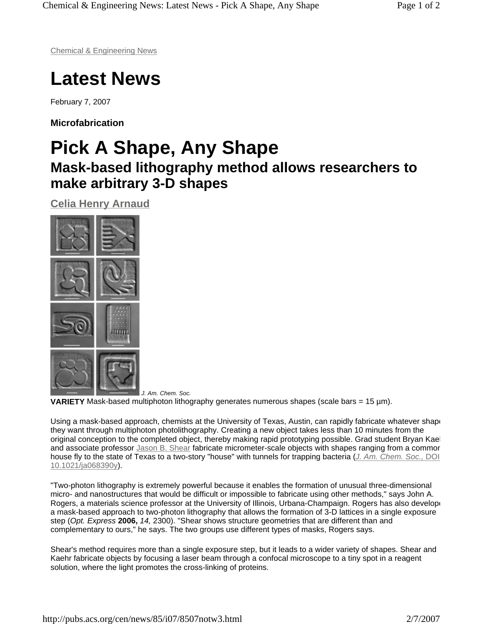Chemical & Engineering News

## **Latest News**

February 7, 2007

**Microfabrication** 

## **Pick A Shape, Any Shape Mask-based lithography method allows researchers to make arbitrary 3-D shapes**

**Celia Henry Arnaud**



*J. Am. Chem. Soc.* **VARIETY** Mask-based multiphoton lithography generates numerous shapes (scale bars = 15 µm).

Using a mask-based approach, chemists at the University of Texas, Austin, can rapidly fabricate whatever shape they want through multiphoton photolithography. Creating a new object takes less than 10 minutes from the original conception to the completed object, thereby making rapid prototyping possible. Grad student Bryan Kael and associate professor Jason B. Shear fabricate micrometer-scale objects with shapes ranging from a commor house fly to the state of Texas to a two-story "house" with tunnels for trapping bacteria (*J. Am. Chem. Soc.,* DOI 10.1021/ja068390y).

"Two-photon lithography is extremely powerful because it enables the formation of unusual three-dimensional micro- and nanostructures that would be difficult or impossible to fabricate using other methods," says John A. Rogers, a materials science professor at the University of Illinois, Urbana-Champaign. Rogers has also develope a mask-based approach to two-photon lithography that allows the formation of 3-D lattices in a single exposure step (*Opt. Express* **2006,** *14,* 2300). "Shear shows structure geometries that are different than and complementary to ours," he says. The two groups use different types of masks, Rogers says.

Shear's method requires more than a single exposure step, but it leads to a wider variety of shapes. Shear and Kaehr fabricate objects by focusing a laser beam through a confocal microscope to a tiny spot in a reagent solution, where the light promotes the cross-linking of proteins.